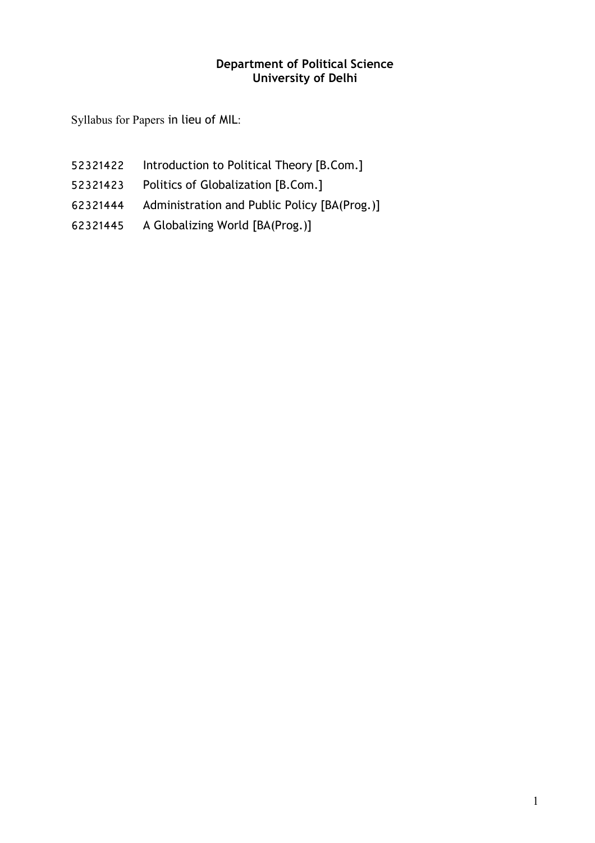## **Department of Political Science University of Delhi**

Syllabus for Papers in lieu of MIL:

- Introduction to Political Theory [B.Com.]
- Politics of Globalization [B.Com.]
- Administration and Public Policy [BA(Prog.)]
- A Globalizing World [BA(Prog.)]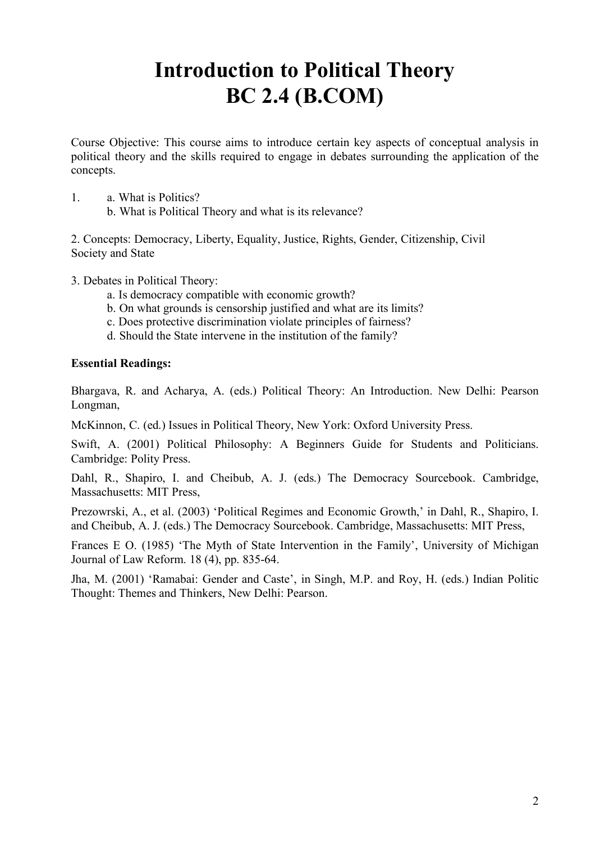# **Introduction to Political Theory BC 2.4 (B.COM)**

Course Objective: This course aims to introduce certain key aspects of conceptual analysis in political theory and the skills required to engage in debates surrounding the application of the concepts.

- 1. a. What is Politics?
	- b. What is Political Theory and what is its relevance?

2. Concepts: Democracy, Liberty, Equality, Justice, Rights, Gender, Citizenship, Civil Society and State

- 3. Debates in Political Theory:
	- a. Is democracy compatible with economic growth?
	- b. On what grounds is censorship justified and what are its limits?
	- c. Does protective discrimination violate principles of fairness?
	- d. Should the State intervene in the institution of the family?

#### **Essential Readings:**

Bhargava, R. and Acharya, A. (eds.) Political Theory: An Introduction. New Delhi: Pearson Longman,

McKinnon, C. (ed.) Issues in Political Theory, New York: Oxford University Press.

Swift, A. (2001) Political Philosophy: A Beginners Guide for Students and Politicians. Cambridge: Polity Press.

Dahl, R., Shapiro, I. and Cheibub, A. J. (eds.) The Democracy Sourcebook. Cambridge, Massachusetts: MIT Press,

Prezowrski, A., et al. (2003) 'Political Regimes and Economic Growth,' in Dahl, R., Shapiro, I. and Cheibub, A. J. (eds.) The Democracy Sourcebook. Cambridge, Massachusetts: MIT Press,

Frances E O. (1985) 'The Myth of State Intervention in the Family', University of Michigan Journal of Law Reform. 18 (4), pp. 835-64.

Jha, M. (2001) 'Ramabai: Gender and Caste', in Singh, M.P. and Roy, H. (eds.) Indian Politic Thought: Themes and Thinkers, New Delhi: Pearson.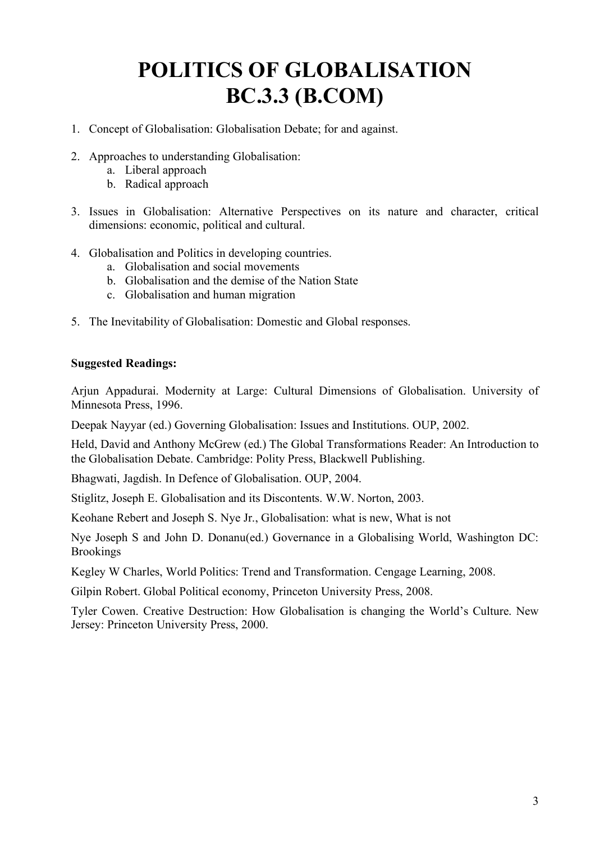# **POLITICS OF GLOBALISATION BC.3.3 (B.COM)**

- 1. Concept of Globalisation: Globalisation Debate; for and against.
- 2. Approaches to understanding Globalisation:
	- a. Liberal approach
	- b. Radical approach
- 3. Issues in Globalisation: Alternative Perspectives on its nature and character, critical dimensions: economic, political and cultural.
- 4. Globalisation and Politics in developing countries.
	- a. Globalisation and social movements
	- b. Globalisation and the demise of the Nation State
	- c. Globalisation and human migration
- 5. The Inevitability of Globalisation: Domestic and Global responses.

## **Suggested Readings:**

Arjun Appadurai. Modernity at Large: Cultural Dimensions of Globalisation. University of Minnesota Press, 1996.

Deepak Nayyar (ed.) Governing Globalisation: Issues and Institutions. OUP, 2002.

Held, David and Anthony McGrew (ed.) The Global Transformations Reader: An Introduction to the Globalisation Debate. Cambridge: Polity Press, Blackwell Publishing.

Bhagwati, Jagdish. In Defence of Globalisation. OUP, 2004.

Stiglitz, Joseph E. Globalisation and its Discontents. W.W. Norton, 2003.

Keohane Rebert and Joseph S. Nye Jr., Globalisation: what is new, What is not

Nye Joseph S and John D. Donanu(ed.) Governance in a Globalising World, Washington DC: Brookings

Kegley W Charles, World Politics: Trend and Transformation. Cengage Learning, 2008.

Gilpin Robert. Global Political economy, Princeton University Press, 2008.

Tyler Cowen. Creative Destruction: How Globalisation is changing the World's Culture. New Jersey: Princeton University Press, 2000.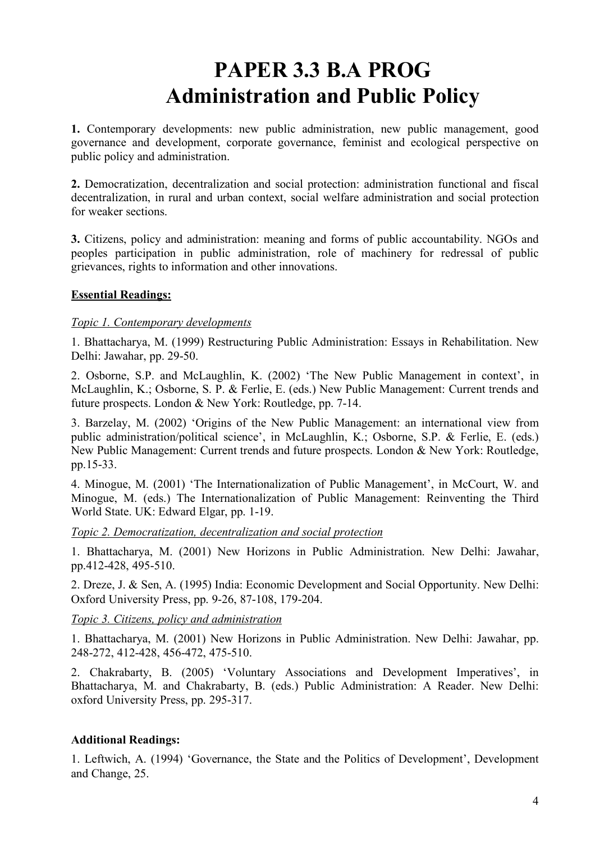# **PAPER 3.3 B.A PROG Administration and Public Policy**

**1.** Contemporary developments: new public administration, new public management, good governance and development, corporate governance, feminist and ecological perspective on public policy and administration.

**2.** Democratization, decentralization and social protection: administration functional and fiscal decentralization, in rural and urban context, social welfare administration and social protection for weaker sections.

**3.** Citizens, policy and administration: meaning and forms of public accountability. NGOs and peoples participation in public administration, role of machinery for redressal of public grievances, rights to information and other innovations.

## **Essential Readings:**

#### *Topic 1. Contemporary developments*

1. Bhattacharya, M. (1999) Restructuring Public Administration: Essays in Rehabilitation. New Delhi: Jawahar, pp. 29-50.

2. Osborne, S.P. and McLaughlin, K. (2002) 'The New Public Management in context', in McLaughlin, K.; Osborne, S. P. & Ferlie, E. (eds.) New Public Management: Current trends and future prospects. London & New York: Routledge, pp. 7-14.

3. Barzelay, M. (2002) 'Origins of the New Public Management: an international view from public administration/political science', in McLaughlin, K.; Osborne, S.P. & Ferlie, E. (eds.) New Public Management: Current trends and future prospects. London & New York: Routledge, pp.15-33.

4. Minogue, M. (2001) 'The Internationalization of Public Management', in McCourt, W. and Minogue, M. (eds.) The Internationalization of Public Management: Reinventing the Third World State. UK: Edward Elgar, pp. 1-19.

*Topic 2. Democratization, decentralization and social protection* 

1. Bhattacharya, M. (2001) New Horizons in Public Administration. New Delhi: Jawahar, pp.412-428, 495-510.

2. Dreze, J. & Sen, A. (1995) India: Economic Development and Social Opportunity. New Delhi: Oxford University Press, pp. 9-26, 87-108, 179-204.

*Topic 3. Citizens, policy and administration* 

1. Bhattacharya, M. (2001) New Horizons in Public Administration. New Delhi: Jawahar, pp. 248-272, 412-428, 456-472, 475-510.

2. Chakrabarty, B. (2005) 'Voluntary Associations and Development Imperatives', in Bhattacharya, M. and Chakrabarty, B. (eds.) Public Administration: A Reader. New Delhi: oxford University Press, pp. 295-317.

## **Additional Readings:**

1. Leftwich, A. (1994) 'Governance, the State and the Politics of Development', Development and Change, 25.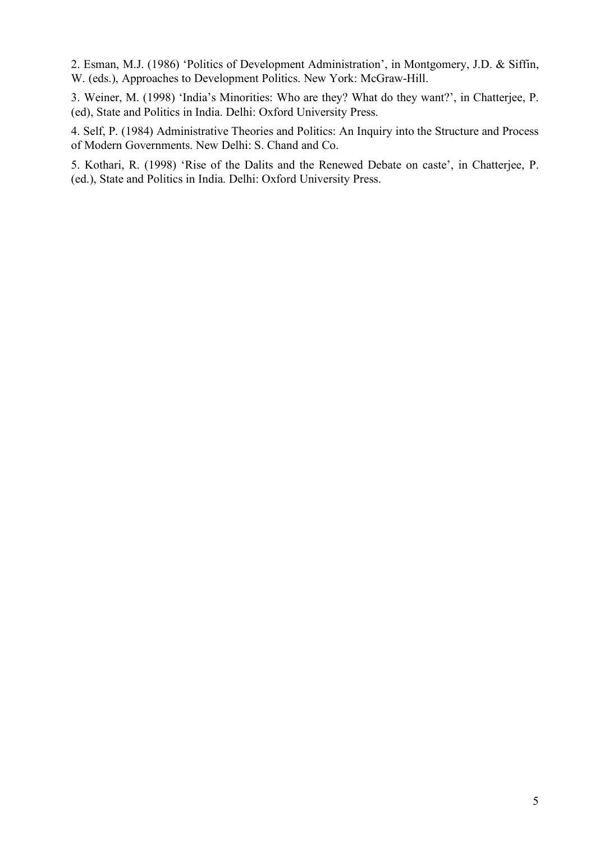2. Esman, M.J. (1986) 'Politics of Development Administration', in Montgomery, J.D. & Siffin, W. (eds.), Approaches to Development Politics. New York: McGraw-Hill.

3. Weiner, M. (1998) 'India's Minorities: Who are they? What do they want?', in Chatterjee, P. (ed), State and Politics in India. Delhi: Oxford University Press.

4. Self, P. (1984) Administrative Theories and Politics: An Inquiry into the Structure and Process of Modern Governments. New Delhi: S. Chand and Co.

5. Kothari, R. (1998) 'Rise of the Dalits and the Renewed Debate on caste', in Chatterjee, P. (ed.), State and Politics in India. Delhi: Oxford University Press.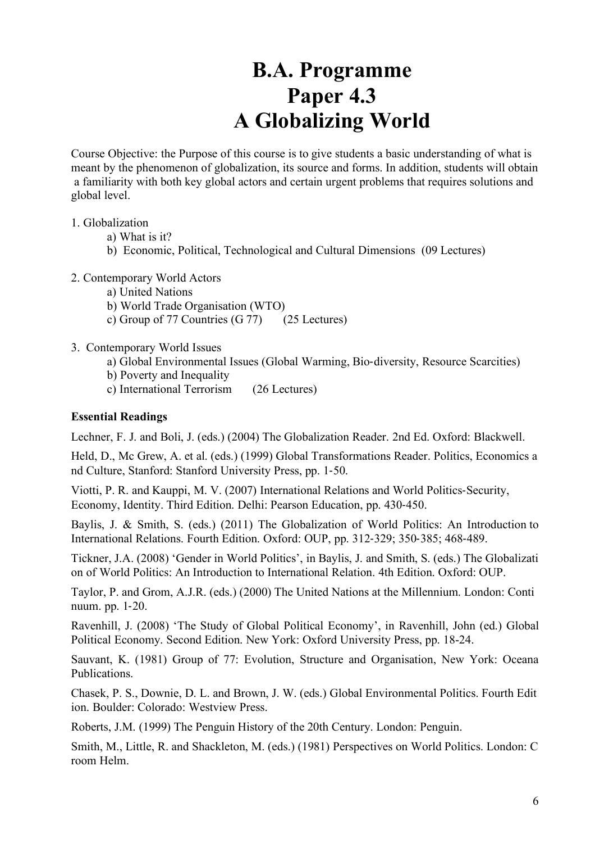# **B.A. Programme Paper 4.3 A Globalizing World**

Course Objective: the Purpose of this course is to give students a basic understanding of what is meant by the phenomenon of globalization, its source and forms. In addition, students will obtain a familiarity with both key global actors and certain urgent problems that requires solutions and global level.

#### 1. Globalization

- a) What is it?
- b) Economic, Political, Technological and Cultural Dimensions (09 Lectures)
- 2. Contemporary World Actors
	- a) United Nations
	- b) World Trade Organisation (WTO)
	- c) Group of 77 Countries (G 77) (25 Lectures)
- 3. Contemporary World Issues
	- a) Global Environmental Issues (Global Warming, Bio-diversity, Resource Scarcities)
	- b) Poverty and Inequality
	- c) International Terrorism (26 Lectures)

#### **Essential Readings**

Lechner, F. J. and Boli, J. (eds.) (2004) The Globalization Reader. 2nd Ed. Oxford: Blackwell.

Held, D., Mc Grew, A. et al. (eds.) (1999) Global Transformations Reader. Politics, Economics a nd Culture, Stanford: Stanford University Press, pp. 1-50.

Viotti, P. R. and Kauppi, M. V. (2007) International Relations and World Politics-Security, Economy, Identity. Third Edition. Delhi: Pearson Education, pp. 430-450.

Baylis, J. & Smith, S. (eds.) (2011) The Globalization of World Politics: An Introduction to International Relations. Fourth Edition. Oxford: OUP, pp. 312-329; 350-385; 468-489.

Tickner, J.A. (2008) 'Gender in World Politics', in Baylis, J. and Smith, S. (eds.) The Globalizati on of World Politics: An Introduction to International Relation. 4th Edition. Oxford: OUP.

Taylor, P. and Grom, A.J.R. (eds.) (2000) The United Nations at the Millennium. London: Conti nuum. pp. 1-20.

Ravenhill, J. (2008) 'The Study of Global Political Economy', in Ravenhill, John (ed.) Global Political Economy. Second Edition. New York: Oxford University Press, pp. 18-24.

Sauvant, K. (1981) Group of 77: Evolution, Structure and Organisation, New York: Oceana Publications.

Chasek, P. S., Downie, D. L. and Brown, J. W. (eds.) Global Environmental Politics. Fourth Edit ion. Boulder: Colorado: Westview Press.

Roberts, J.M. (1999) The Penguin History of the 20th Century. London: Penguin.

Smith, M., Little, R. and Shackleton, M. (eds.) (1981) Perspectives on World Politics. London: C room Helm.